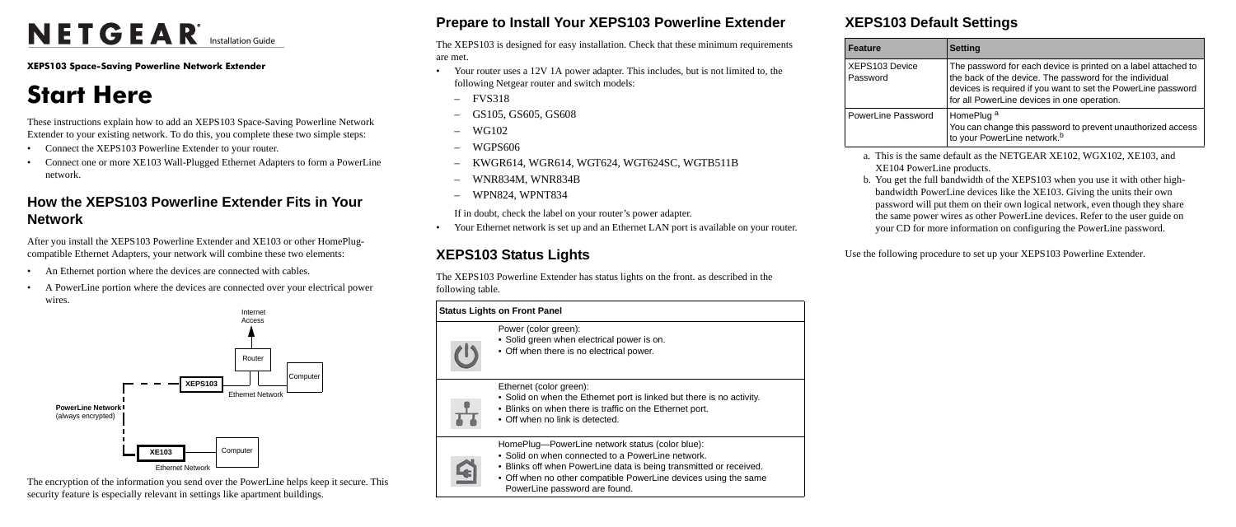# NETGEAR<sup>®</sup> Installation Guide

**XEPS103 Space-Saving Powerline Network Extender**

## **Start Here**

These instructions explain how to add an XEPS103 Space-Saving Powerline Network Extender to your existing network. To do this, you complete these two simple steps:

- Connect the XEPS103 Powerline Extender to your router.
- Connect one or more XE103 Wall-Plugged Ethernet Adapters to form a PowerLine network.

## **How the XEPS103 Powerline Extender Fits in Your Network**

After you install the XEPS103 Powerline Extender and XE103 or other HomePlugcompatible Ethernet Adapters, your network will combine these two elements:

- An Ethernet portion where the devices are connected with cables.
- A PowerLine portion where the devices are connected over your electrical power wires.

The encryption of the information you send over the PowerLine helps keep it secure. This security feature is especially relevant in settings like apartment buildings.



## **Prepare to Install Your XEPS103 Powerline Extender**

The XEPS103 is designed for easy installation. Check that these minimum requirements are met.

XEPS103 Devi Password

PowerLine Pas

- Your router uses a 12V 1A power adapter. This includes, but is not limited to, the following Netgear router and switch models:
	- FVS318
	- GS105, GS605, GS608
	- WG102
	- WGPS606
	- KWGR614, WGR614, WGT624, WGT624SC, WGTB511B
	- WNR834M, WNR834B
	- WPN824, WPNT834

If in doubt, check the label on your router's power adapter.

• Your Ethernet network is set up and an Ethernet LAN port is available on your router.

## **XEPS103 Status Lights**

The XEPS103 Powerline Extender has status lights on the front. as described in the



## **XEPS103 Default Settings**

### **Feature**

Use the following procedure to set up your XEPS103 Powerline Extender.

|       | <b>Setting</b>                                                                                                                                                                                                                            |
|-------|-------------------------------------------------------------------------------------------------------------------------------------------------------------------------------------------------------------------------------------------|
| cе    | The password for each device is printed on a label attached to<br>the back of the device. The password for the individual<br>devices is required if you want to set the PowerLine password<br>for all PowerLine devices in one operation. |
| sword | HomePlug <sup>a</sup><br>You can change this password to prevent unauthorized access<br>to your PowerLine network. <sup>b</sup>                                                                                                           |

a. This is the same default as the NETGEAR XE102, WGX102, XE103, and XE104 PowerLine products.

b. You get the full bandwidth of the XEPS103 when you use it with other highbandwidth PowerLine devices like the XE103. Giving the units their own password will put them on their own logical network, even though they share the same power wires as other PowerLine devices. Refer to the user guide on

your CD for more information on configuring the PowerLine password.